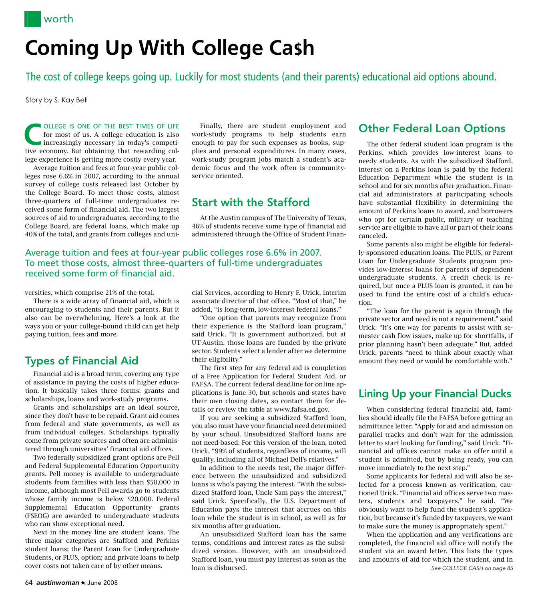# **Coming Up With College Ca\$h**

The cost of college keeps going up. Luckily for most students (and their parents) educational aid options abound.

Story by S. Kay Bell

**C** OLLEGE IS ONE OF THE BEST TIMES OF LIFE for most of us. A college education is also increasingly necessary in today's competitive approximate  $\frac{1}{2}$ for most of us. A college education is also tive economy. But obtaining that rewarding college experience is getting more costly every year.

Average tuition and fees at four-year public colleges rose 6.6% in 2007, according to the annual survey of college costs released last October by the College Board. To meet those costs, almost three-quarters of full-time undergraduates received some form of financial aid. The two largest sources of aid to undergraduates, according to the College Board, are federal loans, which make up 40% of the total, and grants from colleges and uni-

## Average tuition and fees at four-year public colleges rose 6.6% in 2007. To meet those costs, almost three-quarters of full-time undergraduates received some form of financial aid.

versities, which comprise 21% of the total.

There is a wide array of financial aid, which is encouraging to students and their parents. But it also can be overwhelming. Here's a look at the ways you or your college-bound child can get help paying tuition, fees and more.

# Types of Financial Aid

Financial aid is a broad term, covering any type of assistance in paying the costs of higher education. It basically takes three forms: grants and scholarships, loans and work-study programs.

Grants and scholarships are an ideal source, since they don't have to be repaid. Grant aid comes from federal and state governments, as well as from individual colleges. Scholarships typically come from private sources and often are administered through universities' financial aid offices.

Two federally subsidized grant options are Pell and Federal Supplemental Education Opportunity grants. Pell money is available to undergraduate students from families with less than \$50,000 in income, although most Pell awards go to students whose family income is below \$20,000. Federal Supplemental Education Opportunity grants (FSEOG) are awarded to undergraduate students who can show exceptional need.

Next in the money line are student loans. The three major categories are Stafford and Perkins student loans; the Parent Loan for Undergraduate Students, or PLUS, option; and private loans to help cover costs not taken care of by other means.

Finally, there are student employment and work-study programs to help students earn enough to pay for such expenses as books, supplies and personal expenditures. In many cases, work-study program jobs match a student's academic focus and the work often is communityservice oriented.

# Start with the Stafford

At the Austin campus of The University of Texas, 46% of students receive some type of financial aid administered through the Office of Student Finan-

cial Services, according to Henry F. Urick, interim associate director of that office. "Most of that," he added, "is long-term, low-interest federal loans."

"One option that parents may recognize from their experience is the Stafford loan program," said Urick. "It is government authorized, but at UT-Austin, those loans are funded by the private sector. Students select a lender after we determine their eligibility."

The first step for any federal aid is completion of a Free Application for Federal Student Aid, or FAFSA. The current federal deadline for online applications is June 30, but schools and states have their own closing dates, so contact them for details or review the table at www.fafsa.ed.gov.

If you are seeking a subsidized Stafford loan, you also must have your financial need determined by your school. Unsubsidized Stafford loans are not need-based. For this version of the loan, noted Urick, "99% of students, regardless of income, will qualify, including all of Michael Dell's relatives."

In addition to the needs test, the major difference between the unsubsidized and subsidized loans is who's paying the interest. "With the subsidized Stafford loan, Uncle Sam pays the interest," said Urick. Specifically, the U.S. Department of Education pays the interest that accrues on this loan while the student is in school, as well as for six months after graduation.

An unsubsidized Stafford loan has the same terms, conditions and interest rates as the subsidized version. However, with an unsubsidized Stafford loan, you must pay interest as soon as the loan is disbursed.

# Other Federal Loan Options

The other federal student loan program is the Perkins, which provides low-interest loans to needy students. As with the subsidized Stafford, interest on a Perkins loan is paid by the federal Education Department while the student is in school and for six months after graduation. Financial aid administrators at participating schools have substantial flexibility in determining the amount of Perkins loans to award, and borrowers who opt for certain public, military or teaching service are eligible to have all or part of their loans canceled.

Some parents also might be eligible for federally-sponsored education loans. The PLUS, or Parent Loan for Undergraduate Students program provides low-interest loans for parents of dependent undergraduate students. A credit check is required, but once a PLUS loan is granted, it can be used to fund the entire cost of a child's education.

"The loan for the parent is again through the private sector and need is not a requirement," said Urick. "It's one way for parents to assist with semester cash flow issues, make up for shortfalls, if prior planning hasn't been adequate." But, added Urick, parents "need to think about exactly what amount they need or would be comfortable with."

# Lining Up your Financial Ducks

When considering federal financial aid, families should ideally file the FAFSA before getting an admittance letter. "Apply for aid and admission on parallel tracks and don't wait for the admission letter to start looking for funding," said Urick. "Financial aid offices cannot make an offer until a student is admitted, but by being ready, you can move immediately to the next step."

Some applicants for federal aid will also be selected for a process known as verification, cautioned Urick. "Financial aid offices serve two masters, students and taxpayers," he said. "We obviously want to help fund the student's application, but because it's funded by taxpayers, we want to make sure the money is appropriately spent."

When the application and any verifications are completed, the financial aid office will notify the student via an award letter. This lists the types and amounts of aid for which the student, and in *See College Cash on page 85*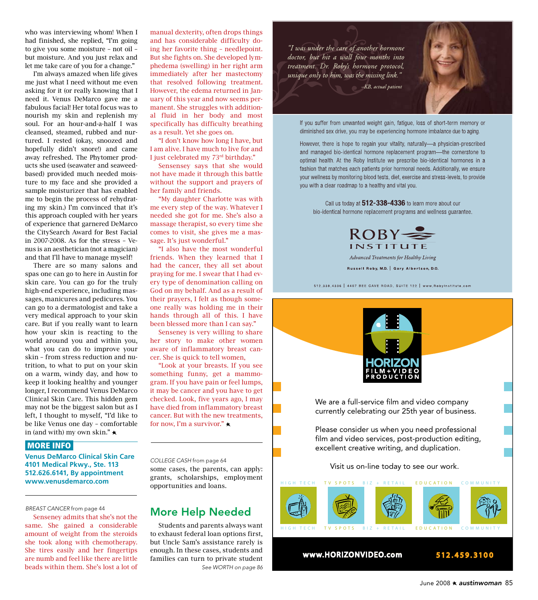who was interviewing whom! When I had finished, she replied, "I'm going to give you some moisture – not oil – but moisture. And you just relax and let me take care of you for a change."

I'm always amazed when life gives me just what I need without me even asking for it (or really knowing that I need it. Venus DeMarco gave me a fabulous facial! Her total focus was to nourish my skin and replenish my soul. For an hour-and-a-half I was cleansed, steamed, rubbed and nurtured. I rested (okay, snoozed and hopefully didn't snore!) and came away refreshed. The Phytomer products she used (seawater and seaweedbased) provided much needed moisture to my face and she provided a sample moisturizer that has enabled me to begin the process of rehydrating my skin.) I'm convinced that it's this approach coupled with her years of experience that garnered DeMarco the CitySearch Award for Best Facial in 2007-2008. As for the stress – Venus is an aesthetician (not a magician) and that I'll have to manage myself!

There are so many salons and spas one can go to here in Austin for skin care. You can go for the truly high-end experience, including massages, manicures and pedicures. You can go to a dermatologist and take a very medical approach to your skin care. But if you really want to learn how your skin is reacting to the world around you and within you, what you can do to improve your skin – from stress reduction and nutrition, to what to put on your skin on a warm, windy day, and how to keep it looking healthy and younger longer, I recommend Venus DeMarco Clinical Skin Care. This hidden gem may not be the biggest salon but as I left, I thought to myself, "I'd like to be like Venus one day – comfortable in (and with) my own skin."  $\star$ 

#### MORE INFO

**Venus DeMarco Clinical Skin Care 4101 Medical Pkwy., Ste. 113 512.626.6141, By appointment www.venusdemarco.com**

*breast cancer* from page 44

Senseney admits that she's not the same. She gained a considerable amount of weight from the steroids she took along with chemotherapy. She tires easily and her fingertips are numb and feel like there are little beads within them. She's lost a lot of

manual dexterity, often drops things and has considerable difficulty doing her favorite thing – needlepoint. But she fights on. She developed lymphedema (swelling) in her right arm immediately after her mastectomy that resolved following treatment. However, the edema returned in January of this year and now seems permanent. She struggles with additional fluid in her body and most specifically has difficulty breathing as a result. Yet she goes on.

"I don't know how long I have, but I am alive. I have much to live for and I just celebrated my 73rd birthday."

Sensensey says that she would not have made it through this battle without the support and prayers of her family and friends.

"My daughter Charlotte was with me every step of the way. Whatever I needed she got for me. She's also a massage therapist, so every time she comes to visit, she gives me a massage. It's just wonderful."

"I also have the most wonderful friends. When they learned that I had the cancer, they all set about praying for me. I swear that I had every type of denomination calling on God on my behalf. And as a result of their prayers, I felt as though someone really was holding me in their hands through all of this. I have been blessed more than I can say."

Senseney is very willing to share her story to make other women aware of inflammatory breast cancer. She is quick to tell women,

"Look at your breasts. If you see something funny, get a mammogram. If you have pain or feel lumps, it may be cancer and you have to get checked. Look, five years ago, I may have died from inflammatory breast cancer. But with the new treatments, for now, I'm a survivor."  $\star$ 

some cases, the parents, can apply: grants, scholarships, employment opportunities and loans. *College Cash* from page 64

# More Help Needed

Students and parents always want to exhaust federal loan options first, but Uncle Sam's assistance rarely is enough. In these cases, students and families can turn to private student *See WORTH on page 86*

"I was under the care of another hormone doctor, but hit a wall four months into treatment. Dr. Roby's hormone protocol, unique only to him, was the missing link."



If you suffer from unwanted weight gain, fatigue, loss of short-term memory or diminished sex drive, you may be experiencing hormone imbalance due to aging.

However, there is hope to regain your vitality, naturally-a physician-prescribed and managed bio-identical hormone replacement program-the cornerstone to optimal health. At the Roby Institute we prescribe bio-identical hormones in a fashion that matches each patients prior hormonal needs. Additionally, we ensure your wellness by monitoring blood tests, diet, exercise and stress-levels, to provide you with a clear roadmap to a healthy and vital you.

Call us today at 512-338-4336 to learn more about our bio-identical hormone replacement programs and wellness guarantee.



Advanced Treatments for Healthy Living

Russell Roby, M.D. | Gary Albertson, D.O.

512.338.4336 | 4407 BEE CAVE ROAD, SUITE 122 | www.RobyInstitute.com



We are a full-service film and video company currently celebrating our 25th year of business.

Please consider us when you need professional film and video services, post-production editing, excellent creative writing, and duplication.

Visit us on-line today to see our work.